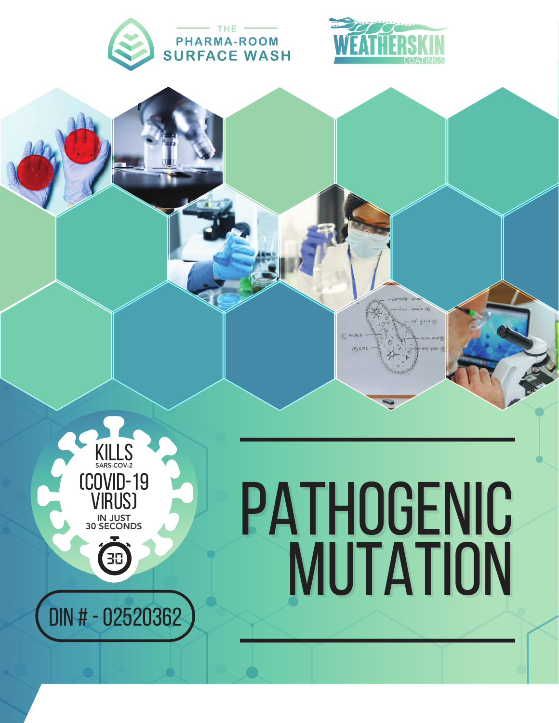





## PATHOGENIC **MUTATION**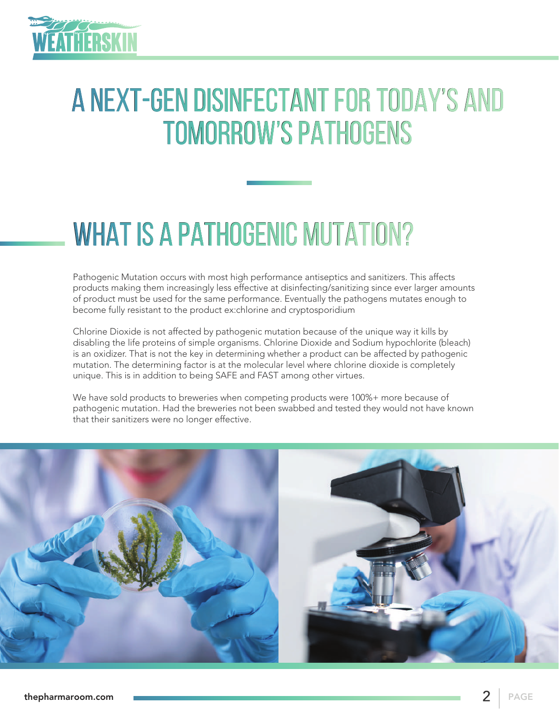

## A NEXT-GEN DISINFECTANT FOR TODAY'S AND TOMORROW'S PATHOGENS

## WHAT IS A PATHOGENIC MUTATION?

Pathogenic Mutation occurs with most high performance antiseptics and sanitizers. This affects products making them increasingly less effective at disinfecting/sanitizing since ever larger amounts of product must be used for the same performance. Eventually the pathogens mutates enough to become fully resistant to the product ex:chlorine and cryptosporidium

Chlorine Dioxide is not affected by pathogenic mutation because of the unique way it kills by disabling the life proteins of simple organisms. Chlorine Dioxide and Sodium hypochlorite (bleach) is an oxidizer. That is not the key in determining whether a product can be affected by pathogenic mutation. The determining factor is at the molecular level where chlorine dioxide is completely unique. This is in addition to being SAFE and FAST among other virtues.

We have sold products to breweries when competing products were 100%+ more because of pathogenic mutation. Had the breweries not been swabbed and tested they would not have known that their sanitizers were no longer effective.